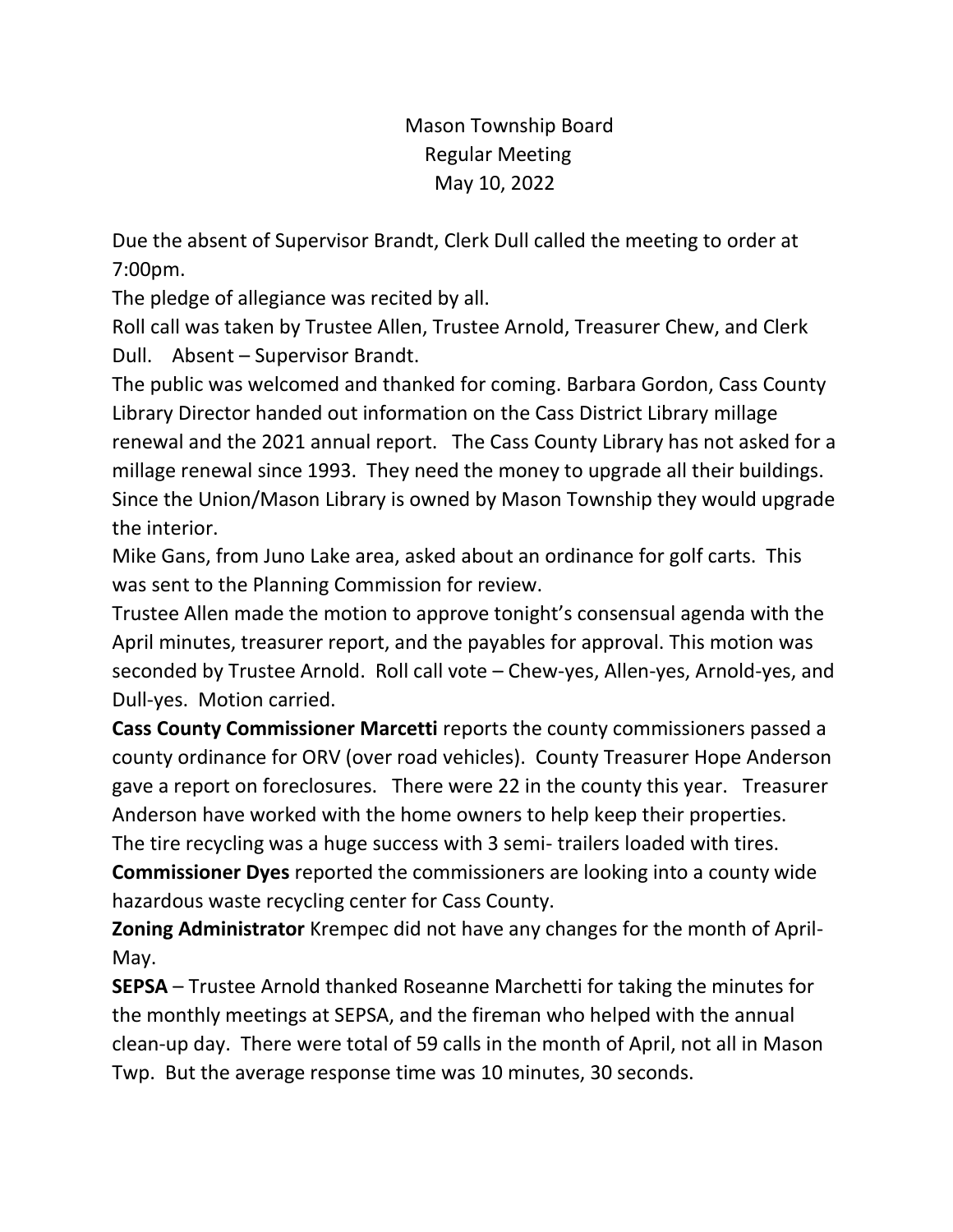Mason Township Board Regular Meeting May 10, 2022

Due the absent of Supervisor Brandt, Clerk Dull called the meeting to order at 7:00pm.

The pledge of allegiance was recited by all.

Roll call was taken by Trustee Allen, Trustee Arnold, Treasurer Chew, and Clerk Dull. Absent – Supervisor Brandt.

The public was welcomed and thanked for coming. Barbara Gordon, Cass County Library Director handed out information on the Cass District Library millage renewal and the 2021 annual report. The Cass County Library has not asked for a millage renewal since 1993. They need the money to upgrade all their buildings. Since the Union/Mason Library is owned by Mason Township they would upgrade the interior.

Mike Gans, from Juno Lake area, asked about an ordinance for golf carts. This was sent to the Planning Commission for review.

Trustee Allen made the motion to approve tonight's consensual agenda with the April minutes, treasurer report, and the payables for approval. This motion was seconded by Trustee Arnold. Roll call vote – Chew-yes, Allen-yes, Arnold-yes, and Dull-yes. Motion carried.

**Cass County Commissioner Marcetti** reports the county commissioners passed a county ordinance for ORV (over road vehicles). County Treasurer Hope Anderson gave a report on foreclosures. There were 22 in the county this year. Treasurer Anderson have worked with the home owners to help keep their properties.

The tire recycling was a huge success with 3 semi- trailers loaded with tires. **Commissioner Dyes** reported the commissioners are looking into a county wide hazardous waste recycling center for Cass County.

**Zoning Administrator** Krempec did not have any changes for the month of April-May.

**SEPSA** – Trustee Arnold thanked Roseanne Marchetti for taking the minutes for the monthly meetings at SEPSA, and the fireman who helped with the annual clean-up day. There were total of 59 calls in the month of April, not all in Mason Twp. But the average response time was 10 minutes, 30 seconds.